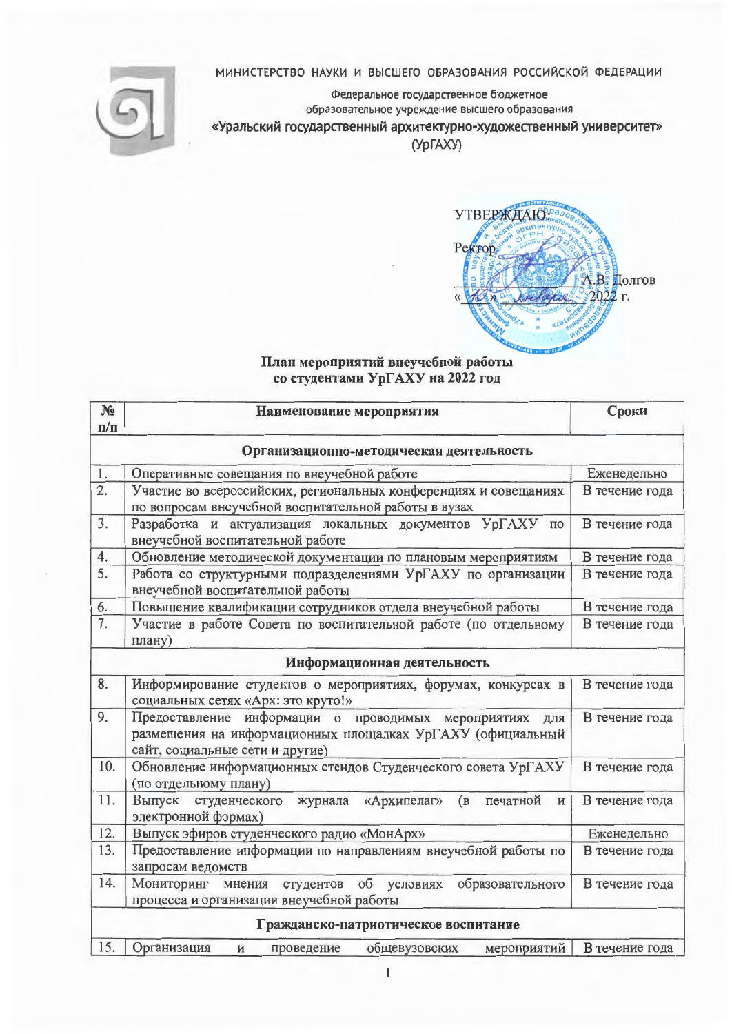## МИНИСТЕРСТВО НАУКИ И ВЫСШЕГО ОБРАЗОВАНИЯ РОССИЙСКОЙ ФЕДЕРАЦИИ



Федеральное государственное бюджетное образовательное учреждение высшего образования

«Уральский государственный архитектурно-художественный университет»

(УрГАХУ)



## План мероприятий внеучебной работы со студентами УрГАХУ на 2022 год

| $N_2$                                    | Наименование мероприятия                                                                                                                                 | Сроки          |  |  |
|------------------------------------------|----------------------------------------------------------------------------------------------------------------------------------------------------------|----------------|--|--|
| $\Pi/\Pi$                                |                                                                                                                                                          |                |  |  |
| Организационно-методическая деятельность |                                                                                                                                                          |                |  |  |
| 1.                                       | Оперативные совещания по внеучебной работе                                                                                                               | Еженедельно    |  |  |
| $\overline{2.}$                          | Участие во всероссийских, региональных конференциях и совещаниях<br>по вопросам внеучебной воспитательной работы в вузах                                 | В течение года |  |  |
| 3.                                       | Разработка и актуализация локальных документов УрГАХУ<br>$\Pi$ O<br>внеучебной воспитательной работе                                                     | В течение года |  |  |
| 4.                                       | Обновление методической документации по плановым мероприятиям                                                                                            | В течение года |  |  |
| 5.                                       | Работа со структурными подразделениями УрГАХУ по организации<br>внеучебной воспитательной работы                                                         | В течение года |  |  |
| 6.                                       | Повышение квалификации сотрудников отдела внеучебной работы                                                                                              | В течение года |  |  |
| 7.                                       | Участие в работе Совета по воспитательной работе (по отдельному<br>плану)                                                                                | В течение года |  |  |
| Информационная деятельность              |                                                                                                                                                          |                |  |  |
| 8.                                       | Информирование студентов о мероприятиях, форумах, конкурсах в<br>социальных сетях «Арх: это круто!»                                                      | В течение года |  |  |
| 9.                                       | Предоставление информации о проводимых мероприятиях для<br>размещения на информационных площадках УрГАХУ (официальный<br>сайт, социальные сети и другие) | В течение года |  |  |
| 10.                                      | Обновление информационных стендов Студенческого совета УрГАХУ<br>(по отдельному плану)                                                                   | В течение года |  |  |
| 11.                                      | Выпуск студенческого журнала «Архипелаг»<br>(в печатной<br>И<br>электронной формах)                                                                      | В течение года |  |  |
| 12.                                      | Выпуск эфиров студенческого радио «МонАрх»                                                                                                               | Еженедельно    |  |  |
| 13.                                      | Предоставление информации по направлениям внеучебной работы по<br>запросам ведомств                                                                      | В течение года |  |  |
| 14.                                      | об условиях<br>образовательного<br>студентов<br>Мониторинг мнения<br>процесса и организации внеучебной работы                                            | В течение года |  |  |
| Гражданско-патриотическое воспитание     |                                                                                                                                                          |                |  |  |
| 15.                                      | общевузовских<br>Организация<br>мероприятий<br>проведение<br>И                                                                                           | В течение года |  |  |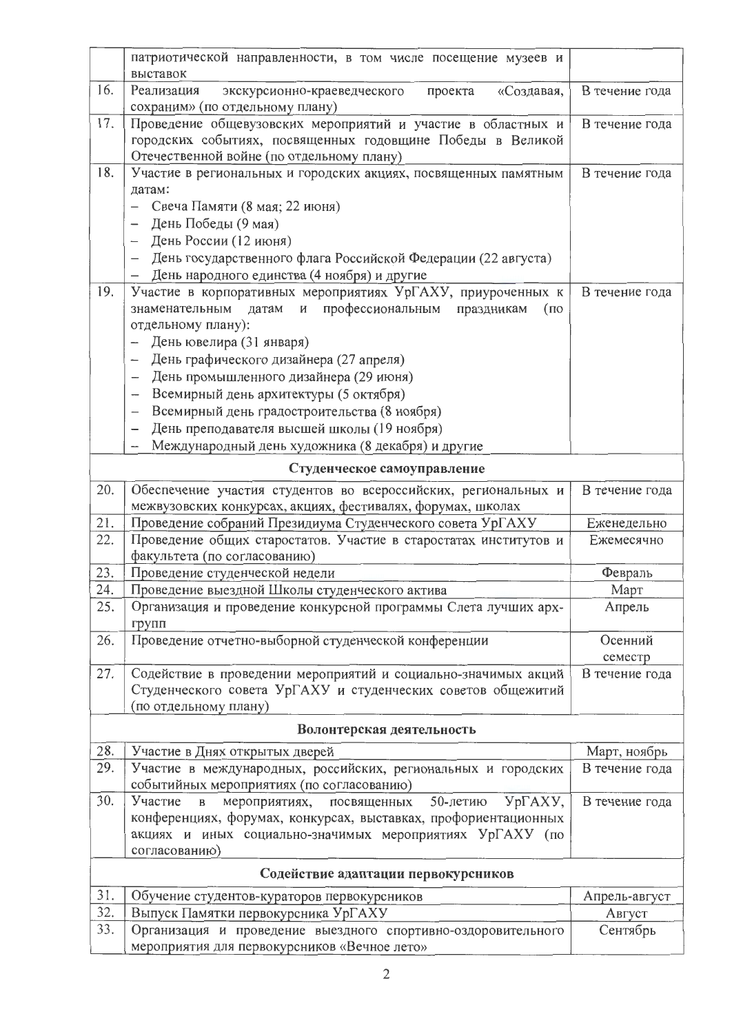|                                     | патриотической направленности, в том числе посещение музеев и<br>выставок                                                                                               |                    |  |
|-------------------------------------|-------------------------------------------------------------------------------------------------------------------------------------------------------------------------|--------------------|--|
| 16.                                 | экскурсионно-краеведческого<br>«Создавая,<br>Реализация<br>проекта<br>сохраним» (по отдельному плану)                                                                   | В течение года     |  |
| 17.                                 | Проведение общевузовских мероприятий и участие в областных и<br>городских событиях, посвященных годовщине Победы в Великой<br>Отечественной войне (по отдельному плану) | В течение года     |  |
| 18.                                 | Участие в региональных и городских акциях, посвященных памятным                                                                                                         | В течение года     |  |
|                                     | датам:                                                                                                                                                                  |                    |  |
|                                     | Свеча Памяти (8 мая; 22 июня)<br>$\qquad \qquad -$                                                                                                                      |                    |  |
|                                     | День Победы (9 мая)<br>$\overline{\phantom{0}}$                                                                                                                         |                    |  |
|                                     | День России (12 июня)                                                                                                                                                   |                    |  |
|                                     | День государственного флага Российской Федерации (22 августа)<br>День народного единства (4 ноября) и другие                                                            |                    |  |
| 19.                                 | —<br>Участие в корпоративных мероприятиях УрГАХУ, приуроченных к                                                                                                        | В течение года     |  |
|                                     | профессиональным<br>знаменательным<br>датам<br>И<br>праздникам<br>(n)                                                                                                   |                    |  |
|                                     | отдельному плану):                                                                                                                                                      |                    |  |
|                                     | День ювелира (31 января)<br>-                                                                                                                                           |                    |  |
|                                     | День графического дизайнера (27 апреля)<br>$\overbrace{\phantom{12322111}}$                                                                                             |                    |  |
|                                     | День промышленного дизайнера (29 июня)<br>$\overline{\phantom{0}}$                                                                                                      |                    |  |
|                                     | Всемирный день архитектуры (5 октября)<br>$\overline{\phantom{m}}$                                                                                                      |                    |  |
|                                     | Всемирный день градостроительства (8 ноября)<br>$\overline{\phantom{0}}$                                                                                                |                    |  |
|                                     | День преподавателя высшей школы (19 ноября)                                                                                                                             |                    |  |
|                                     | Международный день художника (8 декабря) и другие                                                                                                                       |                    |  |
|                                     | Студенческое самоуправление                                                                                                                                             |                    |  |
| 20.                                 | Обеспечение участия студентов во всероссийских, региональных и<br>межвузовских конкурсах, акциях, фестивалях, форумах, школах                                           | В течение года     |  |
| 21.                                 | Проведение собраний Президиума Студенческого совета УрГАХУ                                                                                                              | Еженедельно        |  |
| 22.                                 | Проведение общих старостатов. Участие в старостатах институтов и                                                                                                        | Ежемесячно         |  |
|                                     | факультета (по согласованию)                                                                                                                                            |                    |  |
| 23.                                 | Проведение студенческой недели                                                                                                                                          | Февраль            |  |
| 24.                                 | Проведение выездной Школы студенческого актива                                                                                                                          | Март               |  |
| 25.                                 | Организация и проведение конкурсной программы Слета лучших арх-<br>групп                                                                                                | Апрель             |  |
| 26.                                 | Проведение отчетно-выборной студенческой конференции                                                                                                                    | Осенний<br>семестр |  |
| 27.                                 | Содействие в проведении мероприятий и социально-значимых акций                                                                                                          | В течение года     |  |
|                                     | Студенческого совета УрГАХУ и студенческих советов общежитий                                                                                                            |                    |  |
|                                     | (по отдельному плану)                                                                                                                                                   |                    |  |
|                                     | Волонтерская деятельность                                                                                                                                               |                    |  |
| 28.                                 | Участие в Днях открытых дверей                                                                                                                                          | Март, ноябрь       |  |
| 29.                                 | Участие в международных, российских, региональных и городских<br>событийных мероприятиях (по согласованию)                                                              | В течение года     |  |
| 30.                                 | УрГАХУ,<br>Участие<br>мероприятиях, посвященных<br>50-летию<br>$\, {\bf B}$                                                                                             | В течение года     |  |
|                                     | конференциях, форумах, конкурсах, выставках, профориентационных                                                                                                         |                    |  |
|                                     | акциях и иных социально-значимых мероприятиях УрГАХУ (по<br>согласованию)                                                                                               |                    |  |
| Содействие адаптации первокурсников |                                                                                                                                                                         |                    |  |
| 31.                                 | Обучение студентов-кураторов первокурсников                                                                                                                             | Апрель-август      |  |
| 32.                                 | Выпуск Памятки первокурсника УрГАХУ                                                                                                                                     | Август             |  |
| 33.                                 | Организация и проведение выездного спортивно-оздоровительного                                                                                                           | Сентябрь           |  |
|                                     | мероприятия для первокурсников «Вечное лето»                                                                                                                            |                    |  |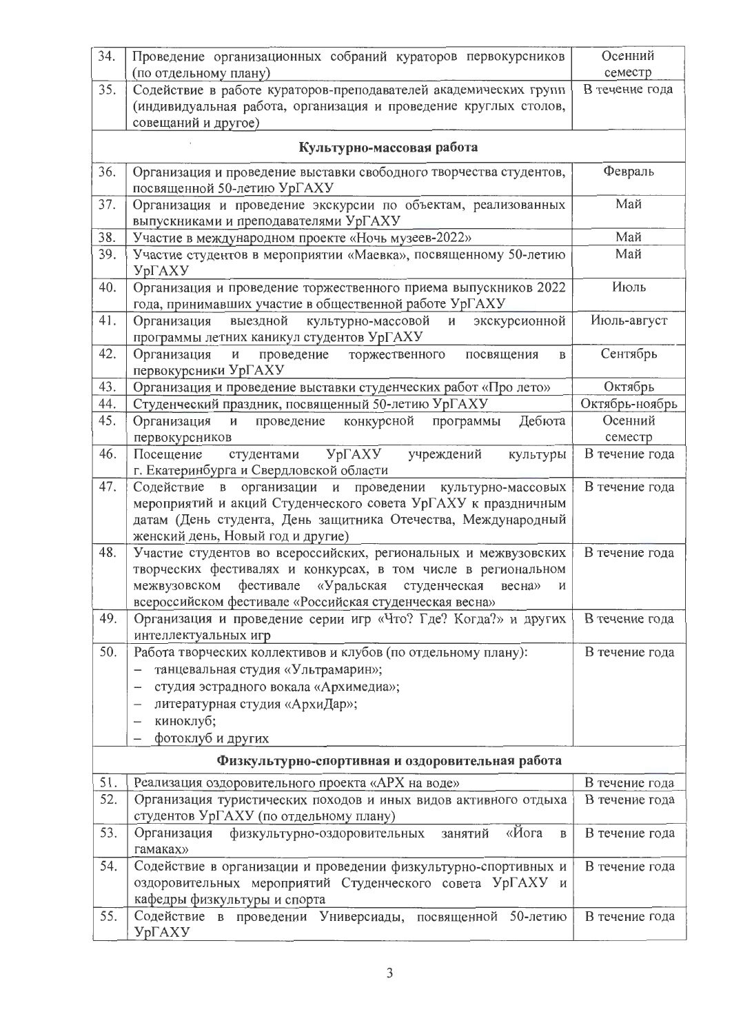| 34. | Проведение организационных собраний кураторов первокурсников                                                                             | Осенний                   |
|-----|------------------------------------------------------------------------------------------------------------------------------------------|---------------------------|
| 35. | (по отдельному плану)<br>Содействие в работе кураторов-преподавателей академических групп                                                | семестр<br>В течение года |
|     | (индивидуальная работа, организация и проведение круглых столов,                                                                         |                           |
|     | совещаний и другое)                                                                                                                      |                           |
|     |                                                                                                                                          |                           |
|     | Культурно-массовая работа                                                                                                                |                           |
| 36. | Организация и проведение выставки свободного творчества студентов,                                                                       | Февраль                   |
|     | посвященной 50-летию УрГАХУ                                                                                                              |                           |
| 37. | Организация и проведение экскурсии по объектам, реализованных                                                                            | Май                       |
|     | выпускниками и преподавателями УрГАХУ                                                                                                    |                           |
| 38. | Участие в международном проекте «Ночь музеев-2022»                                                                                       | Май                       |
| 39. | Участие студентов в мероприятии «Маевка», посвященному 50-летию                                                                          | Май                       |
|     | <b>YprAXY</b>                                                                                                                            |                           |
| 40. | Организация и проведение торжественного приема выпускников 2022                                                                          | Июль                      |
| 41. | года, принимавших участие в общественной работе УрГАХУ<br>выездной<br>экскурсионной<br>культурно-массовой<br>$\mathbf{H}$<br>Организация | Июль-август               |
|     | программы летних каникул студентов УрГАХУ                                                                                                |                           |
| 42. | Организация<br>проведение<br>посвящения<br>И<br>торжественного<br>$\, {\bf B}$                                                           | Сентябрь                  |
|     | первокурсники УрГАХУ                                                                                                                     |                           |
| 43. | Организация и проведение выставки студенческих работ «Про лето»                                                                          | Октябрь                   |
| 44. | Студенческий праздник, посвященный 50-летию УрГАХУ                                                                                       | Октябрь-ноябрь            |
| 45. | Дебюта<br>конкурсной<br>Организация<br>проведение<br>программы<br>И                                                                      | Осенний                   |
|     | первокурсников                                                                                                                           | семестр                   |
| 46. | $Yp\Gamma A XY$<br>учреждений<br>Посещение<br>студентами<br>культуры                                                                     | В течение года            |
|     | г. Екатеринбурга и Свердловской области                                                                                                  |                           |
| 47. | Содействие в организации<br>и проведении культурно-массовых                                                                              | В течение года            |
|     | мероприятий и акций Студенческого совета УрГАХУ к праздничным<br>датам (День студента, День защитника Отечества, Международный           |                           |
|     | женский день, Новый год и другие)                                                                                                        |                           |
| 48. | Участие студентов во всероссийских, региональных и межвузовских                                                                          | В течение года            |
|     | творческих фестивалях и конкурсах, в том числе в региональном                                                                            |                           |
|     | «Уральская студенческая<br>межвузовском<br>фестивале<br>весна»<br>и                                                                      |                           |
|     | всероссийском фестивале «Российская студенческая весна»                                                                                  |                           |
| 49. | Организация и проведение серии игр «Что? Где? Когда?» и других                                                                           | В течение года            |
|     | интеллектуальных игр                                                                                                                     |                           |
| 50. | Работа творческих коллективов и клубов (по отдельному плану):                                                                            | В течение года            |
|     | танцевальная студия «Ультрамарин»;                                                                                                       |                           |
|     | студия эстрадного вокала «Архимедиа»;<br>$\overline{\phantom{0}}$                                                                        |                           |
|     | литературная студия «АрхиДар»;<br>$\overline{\phantom{m}}$                                                                               |                           |
|     | киноклуб;                                                                                                                                |                           |
|     | фотоклуб и других                                                                                                                        |                           |
|     | Физкультурно-спортивная и оздоровительная работа                                                                                         |                           |
| 51. | Реализация оздоровительного проекта «АРХ на воде»                                                                                        | В течение года            |
| 52. | Организация туристических походов и иных видов активного отдыха                                                                          | В течение года            |
|     | студентов УрГАХУ (по отдельному плану)                                                                                                   |                           |
| 53. | «Йога<br>Организация<br>физкультурно-оздоровительных<br>занятий<br>$\mathbf{B}$                                                          | В течение года            |
|     | гамаках»                                                                                                                                 |                           |
| 54. | Содействие в организации и проведении физкультурно-спортивных и                                                                          | В течение года            |
|     | оздоровительных мероприятий Студенческого совета УрГАХУ и                                                                                |                           |
| 55. | кафедры физкультуры и спорта                                                                                                             |                           |
|     | Содействие в проведении Универсиады, посвященной 50-летию<br><b>YpFAXY</b>                                                               | В течение года            |
|     |                                                                                                                                          |                           |